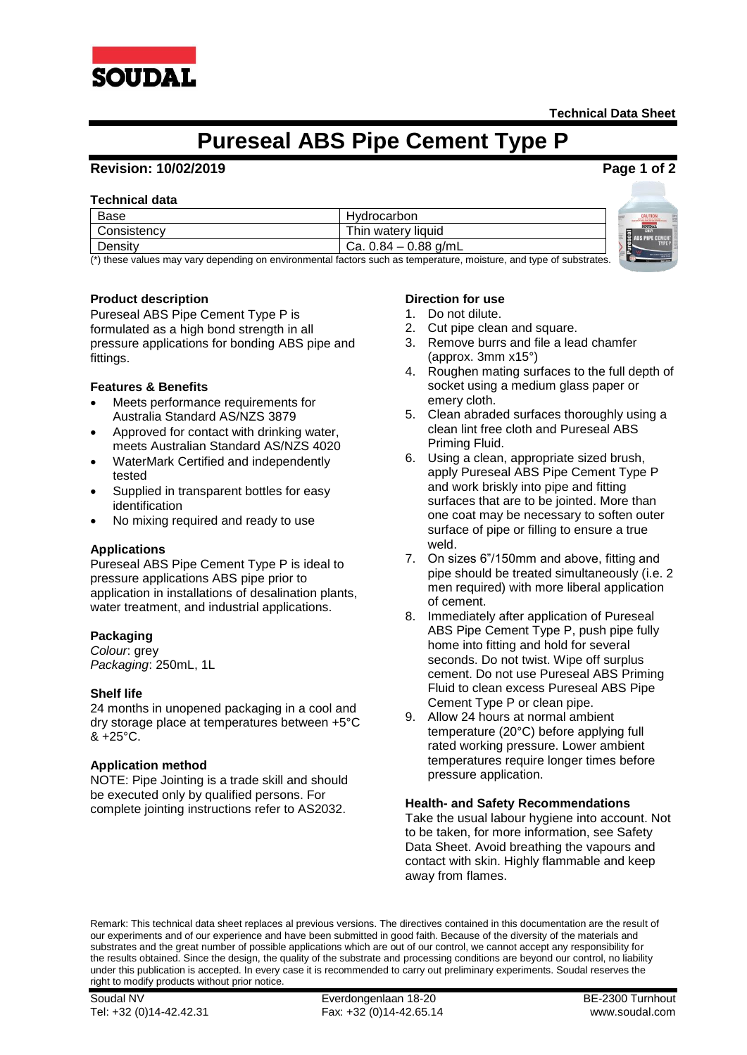

# **Pureseal ABS Pipe Cement Type P**

# **Revision: 10/02/2019 Page 1 of 2**

## **Technical data**

| Base        | Hydrocarbon            | CAUTION                                           |
|-------------|------------------------|---------------------------------------------------|
| Consistency | Thin watery liquid     | <b>SOUDAL</b><br>GREY<br>-<br><b>ABS PIPE CF*</b> |
| Density     | Ca. $0.84 - 0.88$ g/mL | E.<br><b>SALESFIELD</b>                           |

(\*) these values may vary depending on environmental factors such as temperature, moisture, and type of substrates.

# **Product description**

Pureseal ABS Pipe Cement Type P is formulated as a high bond strength in all pressure applications for bonding ABS pipe and fittings.

## **Features & Benefits**

- Meets performance requirements for Australia Standard AS/NZS 3879
- Approved for contact with drinking water, meets Australian Standard AS/NZS 4020
- WaterMark Certified and independently tested
- Supplied in transparent bottles for easy identification
- No mixing required and ready to use

#### **Applications**

Pureseal ABS Pipe Cement Type P is ideal to pressure applications ABS pipe prior to application in installations of desalination plants, water treatment, and industrial applications.

#### **Packaging**

*Colour*: grey *Packaging*: 250mL, 1L

#### **Shelf life**

24 months in unopened packaging in a cool and dry storage place at temperatures between +5°C  $& 425^{\circ}$ C.

# **Application method**

NOTE: Pipe Jointing is a trade skill and should be executed only by qualified persons. For complete jointing instructions refer to AS2032.

## **Direction for use**

- 1. Do not dilute.
- 2. Cut pipe clean and square.
- 3. Remove burrs and file a lead chamfer (approx. 3mm x15°)
- 4. Roughen mating surfaces to the full depth of socket using a medium glass paper or emery cloth.
- 5. Clean abraded surfaces thoroughly using a clean lint free cloth and Pureseal ABS Priming Fluid.
- 6. Using a clean, appropriate sized brush, apply Pureseal ABS Pipe Cement Type P and work briskly into pipe and fitting surfaces that are to be jointed. More than one coat may be necessary to soften outer surface of pipe or filling to ensure a true weld.
- 7. On sizes 6"/150mm and above, fitting and pipe should be treated simultaneously (i.e. 2 men required) with more liberal application of cement.
- 8. Immediately after application of Pureseal ABS Pipe Cement Type P, push pipe fully home into fitting and hold for several seconds. Do not twist. Wipe off surplus cement. Do not use Pureseal ABS Priming Fluid to clean excess Pureseal ABS Pipe Cement Type P or clean pipe.
- 9. Allow 24 hours at normal ambient temperature (20°C) before applying full rated working pressure. Lower ambient temperatures require longer times before pressure application.

#### **Health- and Safety Recommendations**

Take the usual labour hygiene into account. Not to be taken, for more information, see Safety Data Sheet. Avoid breathing the vapours and contact with skin. Highly flammable and keep away from flames.

Remark: This technical data sheet replaces al previous versions. The directives contained in this documentation are the result of our experiments and of our experience and have been submitted in good faith. Because of the diversity of the materials and substrates and the great number of possible applications which are out of our control, we cannot accept any responsibility for the results obtained. Since the design, the quality of the substrate and processing conditions are beyond our control, no liability under this publication is accepted. In every case it is recommended to carry out preliminary experiments. Soudal reserves the right to modify products without prior notice.

Soudal NV Everdongenlaan 18-20 BE-2300 Turnhout Tel: +32 (0)14-42.42.31 Fax: +32 (0)14-42.65.14 www.soudal.com